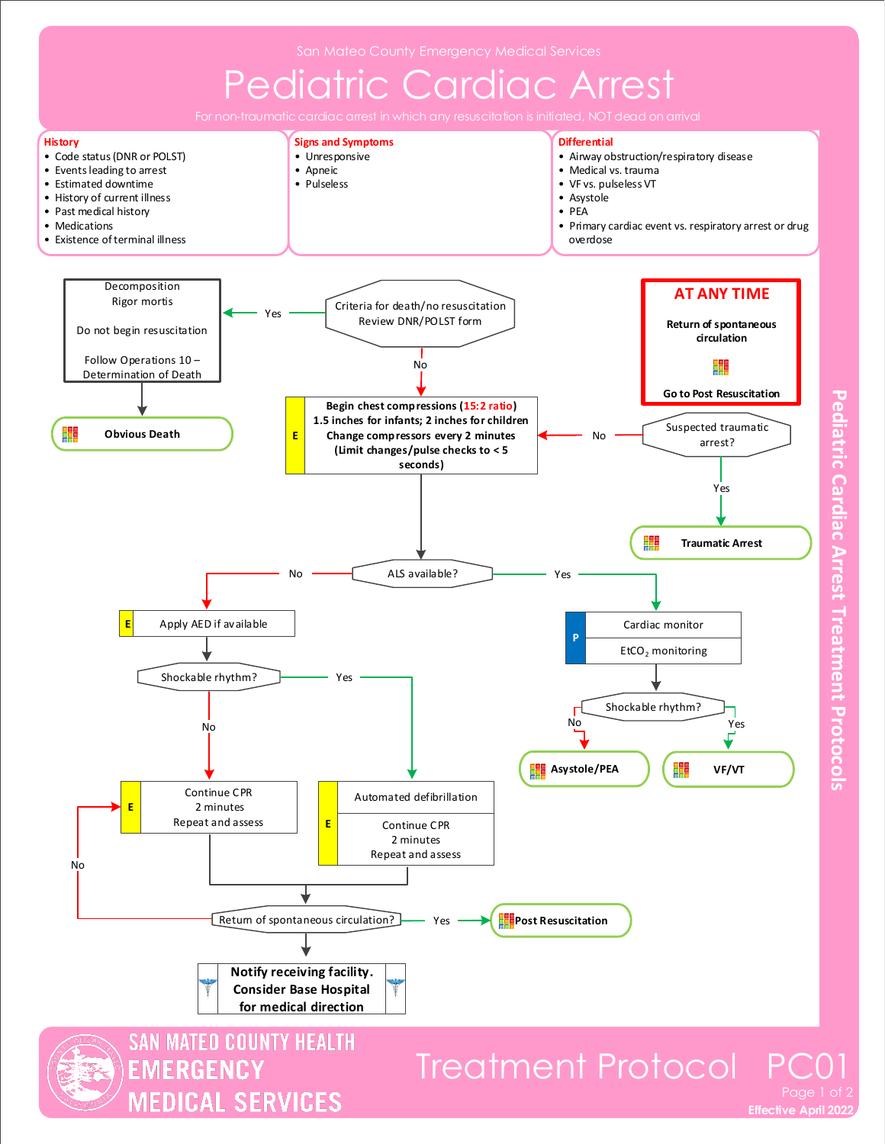



**Pediatric Cardiac Arrest Treatment Protocols**